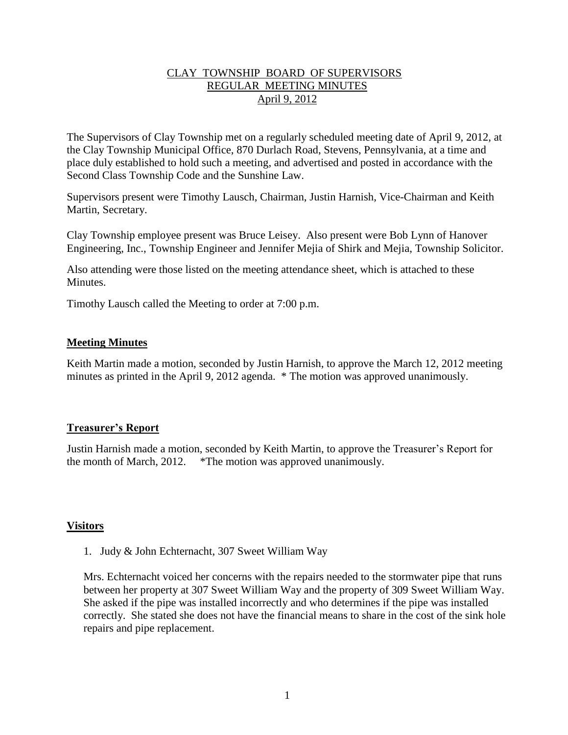### CLAY TOWNSHIP BOARD OF SUPERVISORS REGULAR MEETING MINUTES April 9, 2012

The Supervisors of Clay Township met on a regularly scheduled meeting date of April 9, 2012, at the Clay Township Municipal Office, 870 Durlach Road, Stevens, Pennsylvania, at a time and place duly established to hold such a meeting, and advertised and posted in accordance with the Second Class Township Code and the Sunshine Law.

Supervisors present were Timothy Lausch, Chairman, Justin Harnish, Vice-Chairman and Keith Martin, Secretary.

Clay Township employee present was Bruce Leisey. Also present were Bob Lynn of Hanover Engineering, Inc., Township Engineer and Jennifer Mejia of Shirk and Mejia, Township Solicitor.

Also attending were those listed on the meeting attendance sheet, which is attached to these Minutes.

Timothy Lausch called the Meeting to order at 7:00 p.m.

### **Meeting Minutes**

Keith Martin made a motion, seconded by Justin Harnish, to approve the March 12, 2012 meeting minutes as printed in the April 9, 2012 agenda. \* The motion was approved unanimously.

# **Treasurer's Report**

Justin Harnish made a motion, seconded by Keith Martin, to approve the Treasurer's Report for the month of March, 2012. \*The motion was approved unanimously.

### **Visitors**

1. Judy & John Echternacht, 307 Sweet William Way

Mrs. Echternacht voiced her concerns with the repairs needed to the stormwater pipe that runs between her property at 307 Sweet William Way and the property of 309 Sweet William Way. She asked if the pipe was installed incorrectly and who determines if the pipe was installed correctly. She stated she does not have the financial means to share in the cost of the sink hole repairs and pipe replacement.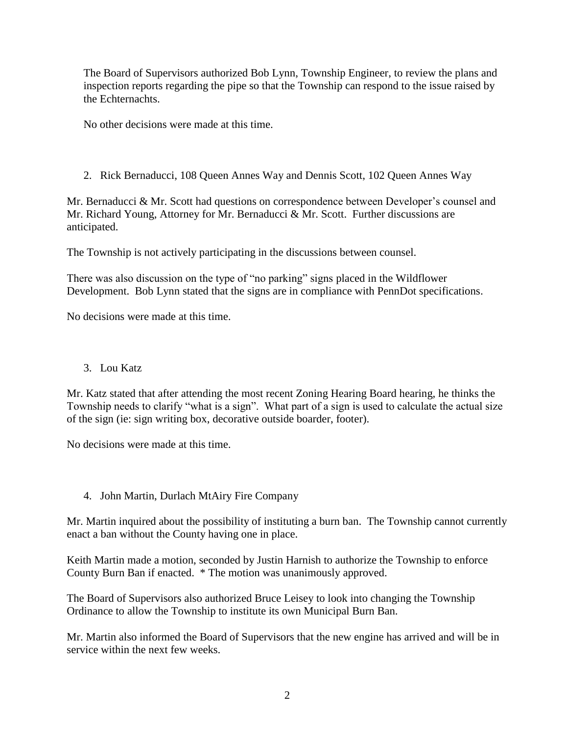The Board of Supervisors authorized Bob Lynn, Township Engineer, to review the plans and inspection reports regarding the pipe so that the Township can respond to the issue raised by the Echternachts.

No other decisions were made at this time.

2. Rick Bernaducci, 108 Queen Annes Way and Dennis Scott, 102 Queen Annes Way

Mr. Bernaducci & Mr. Scott had questions on correspondence between Developer's counsel and Mr. Richard Young, Attorney for Mr. Bernaducci & Mr. Scott. Further discussions are anticipated.

The Township is not actively participating in the discussions between counsel.

There was also discussion on the type of "no parking" signs placed in the Wildflower Development. Bob Lynn stated that the signs are in compliance with PennDot specifications.

No decisions were made at this time.

### 3. Lou Katz

Mr. Katz stated that after attending the most recent Zoning Hearing Board hearing, he thinks the Township needs to clarify "what is a sign". What part of a sign is used to calculate the actual size of the sign (ie: sign writing box, decorative outside boarder, footer).

No decisions were made at this time.

# 4. John Martin, Durlach MtAiry Fire Company

Mr. Martin inquired about the possibility of instituting a burn ban. The Township cannot currently enact a ban without the County having one in place.

Keith Martin made a motion, seconded by Justin Harnish to authorize the Township to enforce County Burn Ban if enacted. \* The motion was unanimously approved.

The Board of Supervisors also authorized Bruce Leisey to look into changing the Township Ordinance to allow the Township to institute its own Municipal Burn Ban.

Mr. Martin also informed the Board of Supervisors that the new engine has arrived and will be in service within the next few weeks.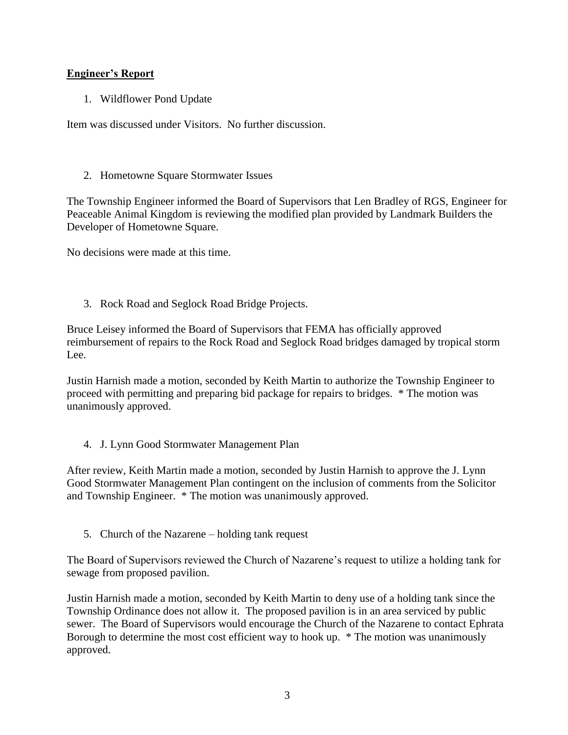# **Engineer's Report**

1. Wildflower Pond Update

Item was discussed under Visitors. No further discussion.

# 2. Hometowne Square Stormwater Issues

The Township Engineer informed the Board of Supervisors that Len Bradley of RGS, Engineer for Peaceable Animal Kingdom is reviewing the modified plan provided by Landmark Builders the Developer of Hometowne Square.

No decisions were made at this time.

3. Rock Road and Seglock Road Bridge Projects.

Bruce Leisey informed the Board of Supervisors that FEMA has officially approved reimbursement of repairs to the Rock Road and Seglock Road bridges damaged by tropical storm Lee.

Justin Harnish made a motion, seconded by Keith Martin to authorize the Township Engineer to proceed with permitting and preparing bid package for repairs to bridges. \* The motion was unanimously approved.

# 4. J. Lynn Good Stormwater Management Plan

After review, Keith Martin made a motion, seconded by Justin Harnish to approve the J. Lynn Good Stormwater Management Plan contingent on the inclusion of comments from the Solicitor and Township Engineer. \* The motion was unanimously approved.

5. Church of the Nazarene – holding tank request

The Board of Supervisors reviewed the Church of Nazarene's request to utilize a holding tank for sewage from proposed pavilion.

Justin Harnish made a motion, seconded by Keith Martin to deny use of a holding tank since the Township Ordinance does not allow it. The proposed pavilion is in an area serviced by public sewer. The Board of Supervisors would encourage the Church of the Nazarene to contact Ephrata Borough to determine the most cost efficient way to hook up. \* The motion was unanimously approved.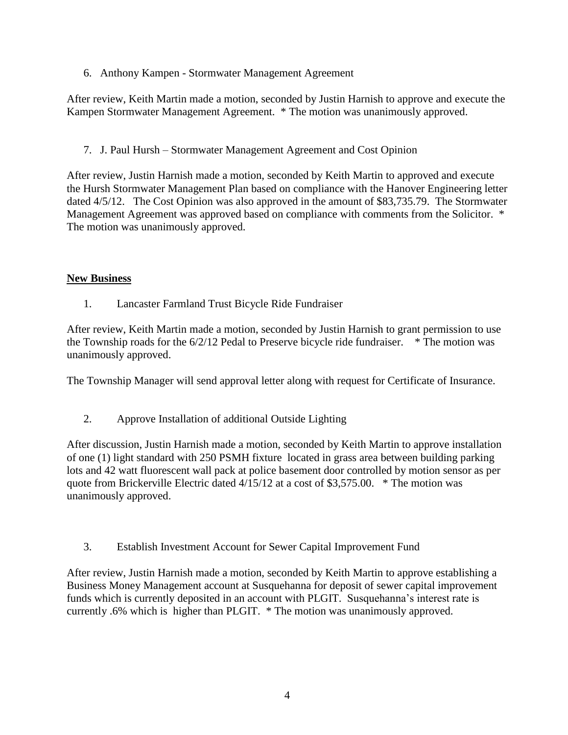6. Anthony Kampen - Stormwater Management Agreement

After review, Keith Martin made a motion, seconded by Justin Harnish to approve and execute the Kampen Stormwater Management Agreement. \* The motion was unanimously approved.

7. J. Paul Hursh – Stormwater Management Agreement and Cost Opinion

After review, Justin Harnish made a motion, seconded by Keith Martin to approved and execute the Hursh Stormwater Management Plan based on compliance with the Hanover Engineering letter dated 4/5/12. The Cost Opinion was also approved in the amount of \$83,735.79. The Stormwater Management Agreement was approved based on compliance with comments from the Solicitor. \* The motion was unanimously approved.

### **New Business**

1. Lancaster Farmland Trust Bicycle Ride Fundraiser

After review, Keith Martin made a motion, seconded by Justin Harnish to grant permission to use the Township roads for the 6/2/12 Pedal to Preserve bicycle ride fundraiser. \* The motion was unanimously approved.

The Township Manager will send approval letter along with request for Certificate of Insurance.

2. Approve Installation of additional Outside Lighting

After discussion, Justin Harnish made a motion, seconded by Keith Martin to approve installation of one (1) light standard with 250 PSMH fixture located in grass area between building parking lots and 42 watt fluorescent wall pack at police basement door controlled by motion sensor as per quote from Brickerville Electric dated 4/15/12 at a cost of \$3,575.00. \* The motion was unanimously approved.

3. Establish Investment Account for Sewer Capital Improvement Fund

After review, Justin Harnish made a motion, seconded by Keith Martin to approve establishing a Business Money Management account at Susquehanna for deposit of sewer capital improvement funds which is currently deposited in an account with PLGIT. Susquehanna's interest rate is currently .6% which is higher than PLGIT. \* The motion was unanimously approved.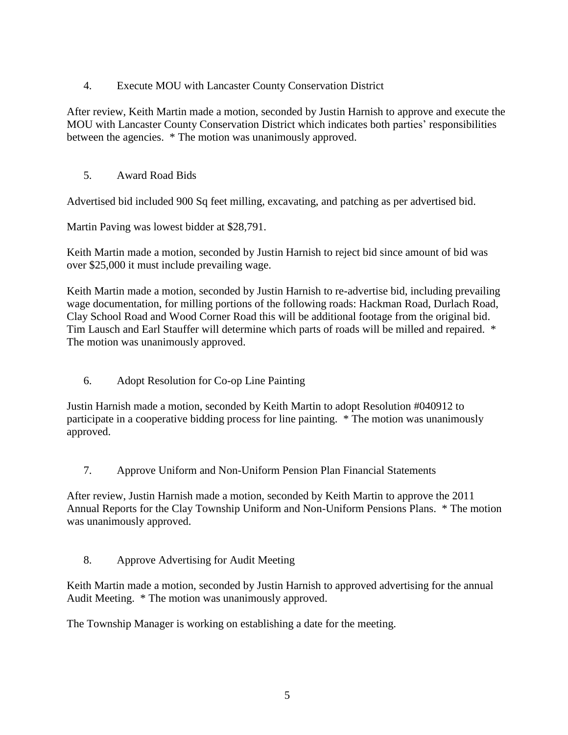4. Execute MOU with Lancaster County Conservation District

After review, Keith Martin made a motion, seconded by Justin Harnish to approve and execute the MOU with Lancaster County Conservation District which indicates both parties' responsibilities between the agencies. \* The motion was unanimously approved.

5. Award Road Bids

Advertised bid included 900 Sq feet milling, excavating, and patching as per advertised bid.

Martin Paving was lowest bidder at \$28,791.

Keith Martin made a motion, seconded by Justin Harnish to reject bid since amount of bid was over \$25,000 it must include prevailing wage.

Keith Martin made a motion, seconded by Justin Harnish to re-advertise bid, including prevailing wage documentation, for milling portions of the following roads: Hackman Road, Durlach Road, Clay School Road and Wood Corner Road this will be additional footage from the original bid. Tim Lausch and Earl Stauffer will determine which parts of roads will be milled and repaired. \* The motion was unanimously approved.

6. Adopt Resolution for Co-op Line Painting

Justin Harnish made a motion, seconded by Keith Martin to adopt Resolution #040912 to participate in a cooperative bidding process for line painting. \* The motion was unanimously approved.

7. Approve Uniform and Non-Uniform Pension Plan Financial Statements

After review, Justin Harnish made a motion, seconded by Keith Martin to approve the 2011 Annual Reports for the Clay Township Uniform and Non-Uniform Pensions Plans. \* The motion was unanimously approved.

8. Approve Advertising for Audit Meeting

Keith Martin made a motion, seconded by Justin Harnish to approved advertising for the annual Audit Meeting. \* The motion was unanimously approved.

The Township Manager is working on establishing a date for the meeting.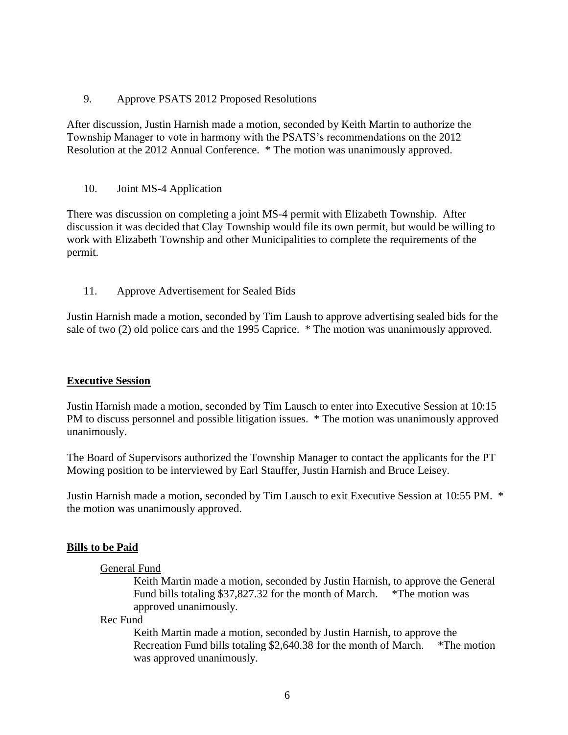9. Approve PSATS 2012 Proposed Resolutions

After discussion, Justin Harnish made a motion, seconded by Keith Martin to authorize the Township Manager to vote in harmony with the PSATS's recommendations on the 2012 Resolution at the 2012 Annual Conference. \* The motion was unanimously approved.

10. Joint MS-4 Application

There was discussion on completing a joint MS-4 permit with Elizabeth Township. After discussion it was decided that Clay Township would file its own permit, but would be willing to work with Elizabeth Township and other Municipalities to complete the requirements of the permit.

11. Approve Advertisement for Sealed Bids

Justin Harnish made a motion, seconded by Tim Laush to approve advertising sealed bids for the sale of two (2) old police cars and the 1995 Caprice. \* The motion was unanimously approved.

### **Executive Session**

Justin Harnish made a motion, seconded by Tim Lausch to enter into Executive Session at 10:15 PM to discuss personnel and possible litigation issues. \* The motion was unanimously approved unanimously.

The Board of Supervisors authorized the Township Manager to contact the applicants for the PT Mowing position to be interviewed by Earl Stauffer, Justin Harnish and Bruce Leisey.

Justin Harnish made a motion, seconded by Tim Lausch to exit Executive Session at 10:55 PM. \* the motion was unanimously approved.

### **Bills to be Paid**

### General Fund

Keith Martin made a motion, seconded by Justin Harnish, to approve the General Fund bills totaling \$37,827.32 for the month of March. \*The motion was approved unanimously.

Rec Fund

Keith Martin made a motion, seconded by Justin Harnish, to approve the Recreation Fund bills totaling \$2,640.38 for the month of March. \*The motion was approved unanimously.